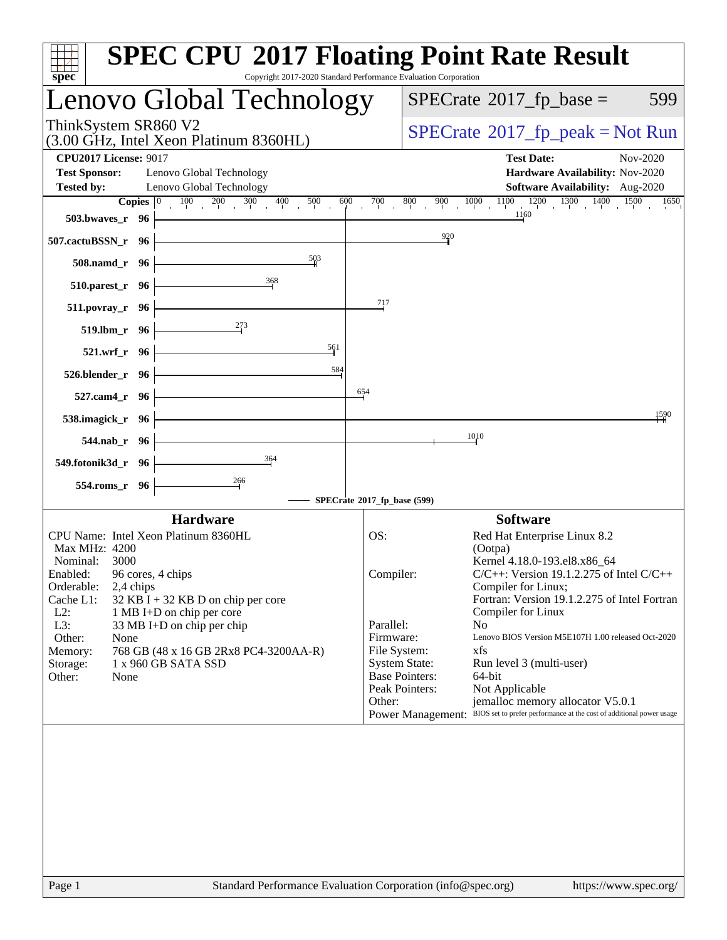| spec <sup>®</sup>                                                                                                                                                                                                                                                                                                                                                                                 | <b>SPEC CPU®2017 Floating Point Rate Result</b><br>Copyright 2017-2020 Standard Performance Evaluation Corporation                                                                                                                                                                                                                                                                                                                                                                                                                                                                                                                    |
|---------------------------------------------------------------------------------------------------------------------------------------------------------------------------------------------------------------------------------------------------------------------------------------------------------------------------------------------------------------------------------------------------|---------------------------------------------------------------------------------------------------------------------------------------------------------------------------------------------------------------------------------------------------------------------------------------------------------------------------------------------------------------------------------------------------------------------------------------------------------------------------------------------------------------------------------------------------------------------------------------------------------------------------------------|
| Lenovo Global Technology                                                                                                                                                                                                                                                                                                                                                                          | $SPECrate^{\circ}2017$ _fp_base =<br>599                                                                                                                                                                                                                                                                                                                                                                                                                                                                                                                                                                                              |
| ThinkSystem SR860 V2<br>(3.00 GHz, Intel Xeon Platinum 8360HL)                                                                                                                                                                                                                                                                                                                                    | $SPECrate^{\circ}2017rfp peak = Not Run$                                                                                                                                                                                                                                                                                                                                                                                                                                                                                                                                                                                              |
| <b>CPU2017 License: 9017</b><br><b>Test Sponsor:</b><br>Lenovo Global Technology<br>Lenovo Global Technology<br><b>Tested by:</b>                                                                                                                                                                                                                                                                 | <b>Test Date:</b><br>Nov-2020<br>Hardware Availability: Nov-2020<br><b>Software Availability:</b> Aug-2020                                                                                                                                                                                                                                                                                                                                                                                                                                                                                                                            |
| Copies $ 0 $<br>$100 \t 200 \t 300 \t 400$<br>500<br>600<br>503.bwayes_r 96<br>507.cactuBSSN_r 96                                                                                                                                                                                                                                                                                                 | $1000$ $1100$ $1200$ $1300$ $1400$ $1500$<br>$700_1$<br>800<br>$900\,$<br>1650<br>1160<br>$\frac{920}{4}$                                                                                                                                                                                                                                                                                                                                                                                                                                                                                                                             |
| 503<br>508.namd_r 96                                                                                                                                                                                                                                                                                                                                                                              |                                                                                                                                                                                                                                                                                                                                                                                                                                                                                                                                                                                                                                       |
| 368<br>510.parest_r 96<br>$511.povray_r$ 96                                                                                                                                                                                                                                                                                                                                                       | $^{717}$                                                                                                                                                                                                                                                                                                                                                                                                                                                                                                                                                                                                                              |
| 273<br>$519.1 \text{bm} \cdot 96$                                                                                                                                                                                                                                                                                                                                                                 |                                                                                                                                                                                                                                                                                                                                                                                                                                                                                                                                                                                                                                       |
| $\frac{561}{5}$<br>521.wrf_r 96<br>$\frac{584}{1}$<br>526.blender_r 96                                                                                                                                                                                                                                                                                                                            |                                                                                                                                                                                                                                                                                                                                                                                                                                                                                                                                                                                                                                       |
| 527.cam4_r 96                                                                                                                                                                                                                                                                                                                                                                                     | 654                                                                                                                                                                                                                                                                                                                                                                                                                                                                                                                                                                                                                                   |
| 538.imagick_r 96<br>544.nab_r 96                                                                                                                                                                                                                                                                                                                                                                  | 1590<br>1010                                                                                                                                                                                                                                                                                                                                                                                                                                                                                                                                                                                                                          |
| 364<br>549.fotonik3d_r 96                                                                                                                                                                                                                                                                                                                                                                         |                                                                                                                                                                                                                                                                                                                                                                                                                                                                                                                                                                                                                                       |
| 266<br>554.roms_r 96                                                                                                                                                                                                                                                                                                                                                                              | SPECrate®2017_fp_base (599)                                                                                                                                                                                                                                                                                                                                                                                                                                                                                                                                                                                                           |
| <b>Hardware</b>                                                                                                                                                                                                                                                                                                                                                                                   | <b>Software</b>                                                                                                                                                                                                                                                                                                                                                                                                                                                                                                                                                                                                                       |
| CPU Name: Intel Xeon Platinum 8360HL<br>Max MHz: 4200<br>Nominal:<br>3000<br>96 cores, 4 chips<br>Enabled:<br>Orderable:<br>2,4 chips<br>Cache L1:<br>$32$ KB I + 32 KB D on chip per core<br>$L2$ :<br>1 MB I+D on chip per core<br>L3:<br>33 MB I+D on chip per chip<br>Other:<br>None<br>Memory:<br>768 GB (48 x 16 GB 2Rx8 PC4-3200AA-R)<br>1 x 960 GB SATA SSD<br>Storage:<br>Other:<br>None | OS:<br>Red Hat Enterprise Linux 8.2<br>(Ootpa)<br>Kernel 4.18.0-193.el8.x86_64<br>$C/C++$ : Version 19.1.2.275 of Intel $C/C++$<br>Compiler:<br>Compiler for Linux;<br>Fortran: Version 19.1.2.275 of Intel Fortran<br>Compiler for Linux<br>Parallel:<br>N <sub>o</sub><br>Firmware:<br>Lenovo BIOS Version M5E107H 1.00 released Oct-2020<br>File System:<br>xfs<br><b>System State:</b><br>Run level 3 (multi-user)<br><b>Base Pointers:</b><br>64-bit<br>Peak Pointers:<br>Not Applicable<br>jemalloc memory allocator V5.0.1<br>Other:<br>Power Management: BIOS set to prefer performance at the cost of additional power usage |
|                                                                                                                                                                                                                                                                                                                                                                                                   |                                                                                                                                                                                                                                                                                                                                                                                                                                                                                                                                                                                                                                       |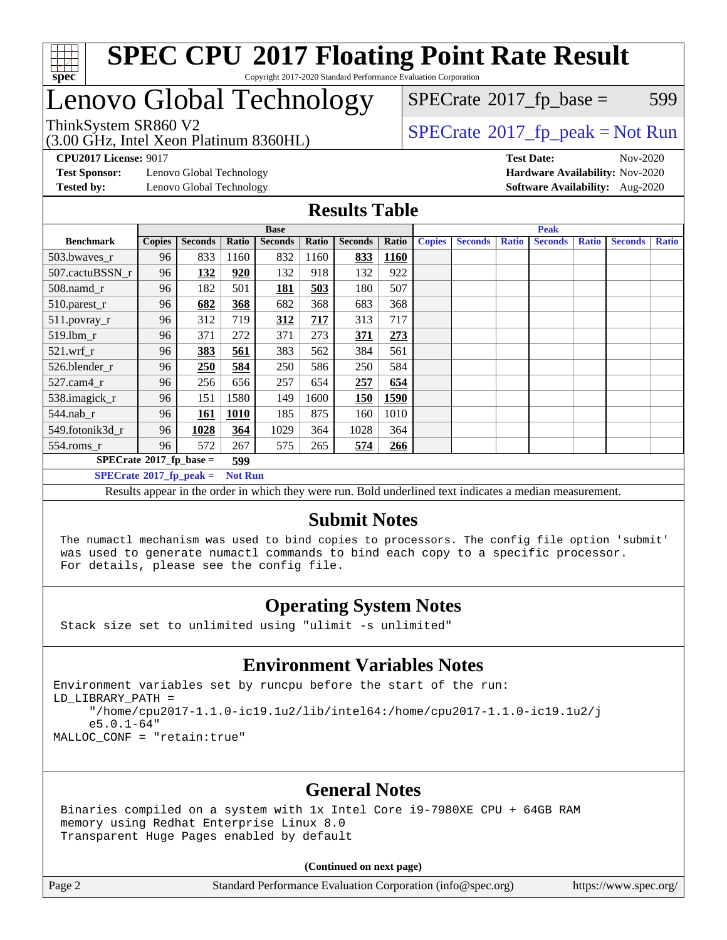

## Lenovo Global Technology

(3.00 GHz, Intel Xeon Platinum 8360HL)

 $SPECTate@2017_fp\_base = 599$ 

### ThinkSystem SR860 V2<br>(3.00 GHz, Intel Yogn Platinum 8360H) [SPECrate](http://www.spec.org/auto/cpu2017/Docs/result-fields.html#SPECrate2017fppeak)®[2017\\_fp\\_peak = N](http://www.spec.org/auto/cpu2017/Docs/result-fields.html#SPECrate2017fppeak)ot Run

**[CPU2017 License:](http://www.spec.org/auto/cpu2017/Docs/result-fields.html#CPU2017License)** 9017 **[Test Date:](http://www.spec.org/auto/cpu2017/Docs/result-fields.html#TestDate)** Nov-2020

**[Test Sponsor:](http://www.spec.org/auto/cpu2017/Docs/result-fields.html#TestSponsor)** Lenovo Global Technology **[Hardware Availability:](http://www.spec.org/auto/cpu2017/Docs/result-fields.html#HardwareAvailability)** Nov-2020

**[Tested by:](http://www.spec.org/auto/cpu2017/Docs/result-fields.html#Testedby)** Lenovo Global Technology **[Software Availability:](http://www.spec.org/auto/cpu2017/Docs/result-fields.html#SoftwareAvailability)** Aug-2020

#### **[Results Table](http://www.spec.org/auto/cpu2017/Docs/result-fields.html#ResultsTable)**

| <b>Base</b>                      |               |                |                |                | <b>Peak</b> |                |             |               |                |              |                |              |                |              |
|----------------------------------|---------------|----------------|----------------|----------------|-------------|----------------|-------------|---------------|----------------|--------------|----------------|--------------|----------------|--------------|
| <b>Benchmark</b>                 | <b>Copies</b> | <b>Seconds</b> | Ratio          | <b>Seconds</b> | Ratio       | <b>Seconds</b> | Ratio       | <b>Copies</b> | <b>Seconds</b> | <b>Ratio</b> | <b>Seconds</b> | <b>Ratio</b> | <b>Seconds</b> | <b>Ratio</b> |
| 503.bwaves_r                     | 96            | 833            | 1160           | 832            | 1160        | 833            | <b>1160</b> |               |                |              |                |              |                |              |
| 507.cactuBSSN r                  | 96            | 132            | 920            | 132            | 918         | 132            | 922         |               |                |              |                |              |                |              |
| $508$ .namd_r                    | 96            | 182            | 501            | 181            | 503         | 180            | 507         |               |                |              |                |              |                |              |
| 510.parest_r                     | 96            | 682            | 368            | 682            | 368         | 683            | 368         |               |                |              |                |              |                |              |
| 511.povray_r                     | 96            | 312            | 719            | 312            | 717         | 313            | 717         |               |                |              |                |              |                |              |
| 519.lbm r                        | 96            | 371            | 272            | 371            | 273         | 371            | 273         |               |                |              |                |              |                |              |
| $521$ .wrf r                     | 96            | 383            | 561            | 383            | 562         | 384            | 561         |               |                |              |                |              |                |              |
| 526.blender r                    | 96            | 250            | 584            | 250            | 586         | 250            | 584         |               |                |              |                |              |                |              |
| $527$ .cam $4r$                  | 96            | 256            | 656            | 257            | 654         | 257            | 654         |               |                |              |                |              |                |              |
| 538.imagick_r                    | 96            | 151            | 1580           | 149            | 1600        | <b>150</b>     | 1590        |               |                |              |                |              |                |              |
| 544.nab r                        | 96            | 161            | 1010           | 185            | 875         | 160            | 1010        |               |                |              |                |              |                |              |
| 549.fotonik3d_r                  | 96            | 1028           | 364            | 1029           | 364         | 1028           | 364         |               |                |              |                |              |                |              |
| $554$ .roms_r                    | 96            | 572            | 267            | 575            | 265         | 574            | 266         |               |                |              |                |              |                |              |
| $SPECrate^{\circ}2017$ fp base = |               |                | 599            |                |             |                |             |               |                |              |                |              |                |              |
| $SPECrate^{\circ}2017$ fp peak = |               |                | <b>Not Run</b> |                |             |                |             |               |                |              |                |              |                |              |

Results appear in the [order in which they were run](http://www.spec.org/auto/cpu2017/Docs/result-fields.html#RunOrder). Bold underlined text [indicates a median measurement.](http://www.spec.org/auto/cpu2017/Docs/result-fields.html#Median)

#### **[Submit Notes](http://www.spec.org/auto/cpu2017/Docs/result-fields.html#SubmitNotes)**

 The numactl mechanism was used to bind copies to processors. The config file option 'submit' was used to generate numactl commands to bind each copy to a specific processor. For details, please see the config file.

### **[Operating System Notes](http://www.spec.org/auto/cpu2017/Docs/result-fields.html#OperatingSystemNotes)**

Stack size set to unlimited using "ulimit -s unlimited"

#### **[Environment Variables Notes](http://www.spec.org/auto/cpu2017/Docs/result-fields.html#EnvironmentVariablesNotes)**

Environment variables set by runcpu before the start of the run: LD\_LIBRARY\_PATH = "/home/cpu2017-1.1.0-ic19.1u2/lib/intel64:/home/cpu2017-1.1.0-ic19.1u2/j e5.0.1-64" MALLOC\_CONF = "retain:true"

#### **[General Notes](http://www.spec.org/auto/cpu2017/Docs/result-fields.html#GeneralNotes)**

 Binaries compiled on a system with 1x Intel Core i9-7980XE CPU + 64GB RAM memory using Redhat Enterprise Linux 8.0 Transparent Huge Pages enabled by default

#### **(Continued on next page)**

Page 2 Standard Performance Evaluation Corporation [\(info@spec.org\)](mailto:info@spec.org) <https://www.spec.org/>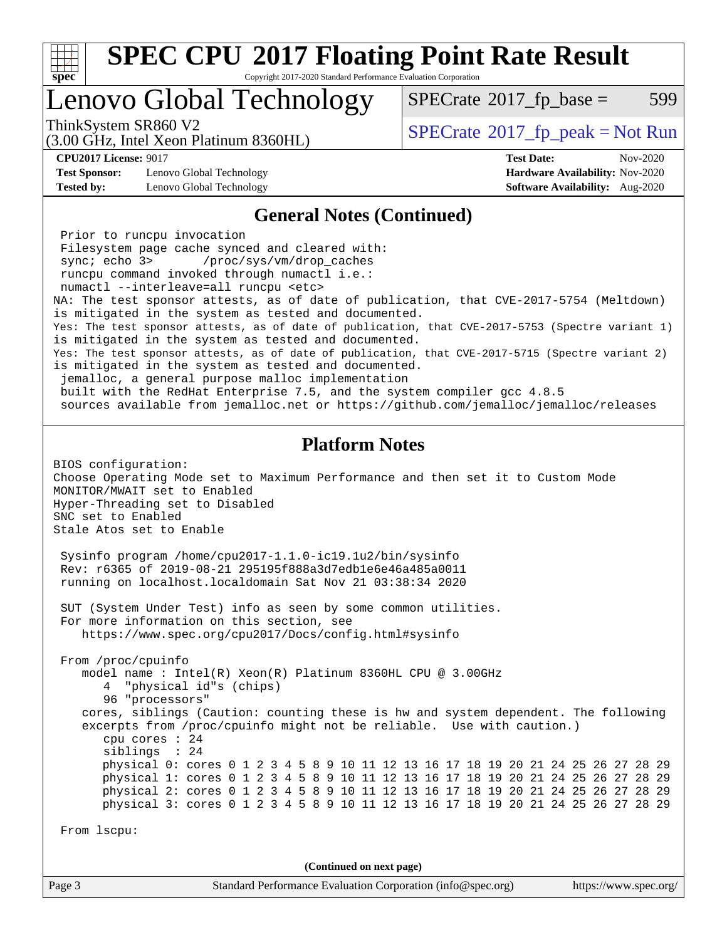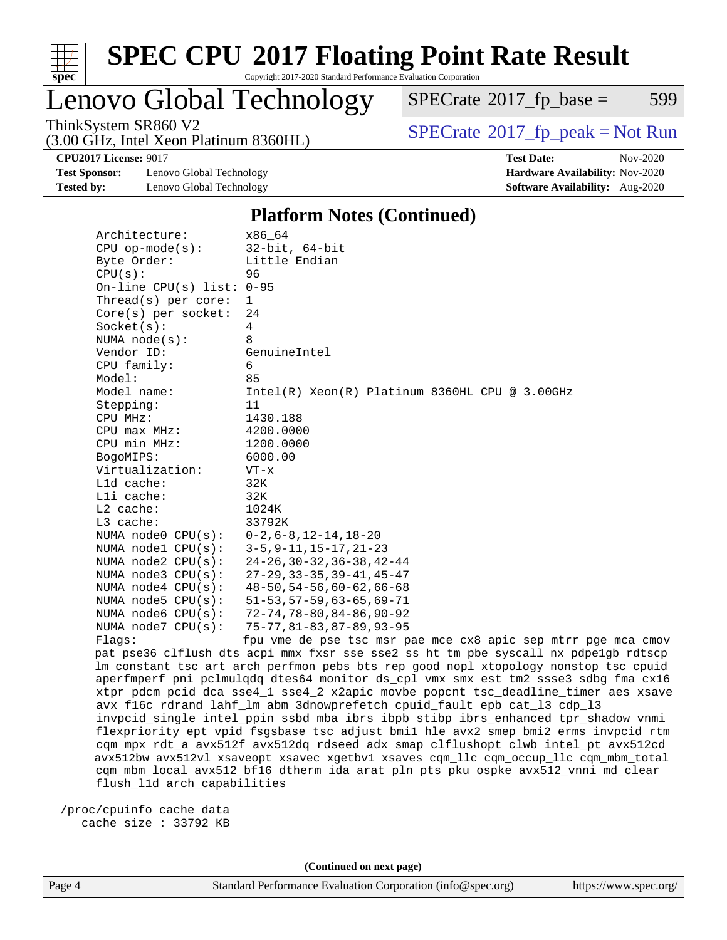

### Lenovo Global Technology

 $SPECTate@2017_fp\_base = 599$ 

(3.00 GHz, Intel Xeon Platinum 8360HL)

ThinkSystem SR860 V2<br>(3.00 GHz, Intel Yogn Platinum 8360H) [SPECrate](http://www.spec.org/auto/cpu2017/Docs/result-fields.html#SPECrate2017fppeak)®[2017\\_fp\\_peak = N](http://www.spec.org/auto/cpu2017/Docs/result-fields.html#SPECrate2017fppeak)ot Run

**[Test Sponsor:](http://www.spec.org/auto/cpu2017/Docs/result-fields.html#TestSponsor)** Lenovo Global Technology **[Hardware Availability:](http://www.spec.org/auto/cpu2017/Docs/result-fields.html#HardwareAvailability)** Nov-2020 **[Tested by:](http://www.spec.org/auto/cpu2017/Docs/result-fields.html#Testedby)** Lenovo Global Technology **[Software Availability:](http://www.spec.org/auto/cpu2017/Docs/result-fields.html#SoftwareAvailability)** Aug-2020

**[CPU2017 License:](http://www.spec.org/auto/cpu2017/Docs/result-fields.html#CPU2017License)** 9017 **[Test Date:](http://www.spec.org/auto/cpu2017/Docs/result-fields.html#TestDate)** Nov-2020

#### **[Platform Notes \(Continued\)](http://www.spec.org/auto/cpu2017/Docs/result-fields.html#PlatformNotes)**

| Architecture:                | x86 64                                                                              |
|------------------------------|-------------------------------------------------------------------------------------|
| $CPU$ op-mode( $s$ ):        | $32$ -bit, $64$ -bit                                                                |
| Byte Order:                  | Little Endian                                                                       |
| CPU(s):                      | 96                                                                                  |
| On-line CPU $(s)$ list: 0-95 |                                                                                     |
| Thread( $s$ ) per core:      | $\mathbf{1}$                                                                        |
| Core(s) per socket:          | 24                                                                                  |
| Socket(s):                   | 4                                                                                   |
| NUMA $node(s)$ :             | 8                                                                                   |
| Vendor ID:                   | GenuineIntel                                                                        |
| CPU family:                  | 6                                                                                   |
| Model:                       | 85                                                                                  |
| Model name:                  | $Intel(R) Xeon(R) Platinum 8360HL CPU @ 3.00GHz$                                    |
| Stepping:                    | 11                                                                                  |
| CPU MHz:                     | 1430.188                                                                            |
| CPU max MHz:                 | 4200.0000                                                                           |
| CPU min MHz:                 | 1200.0000                                                                           |
| BogoMIPS:                    | 6000.00                                                                             |
| Virtualization:              | $VT - x$                                                                            |
| Lld cache:                   | 32K                                                                                 |
| Lli cache:                   | 32K                                                                                 |
| L2 cache:                    | 1024K                                                                               |
| L3 cache:                    | 33792K                                                                              |
| NUMA node0 CPU(s):           | $0 - 2$ , $6 - 8$ , $12 - 14$ , $18 - 20$                                           |
| NUMA nodel CPU(s):           | $3 - 5$ , $9 - 11$ , $15 - 17$ , $21 - 23$                                          |
| NUMA $node2$ $CPU(s):$       | $24 - 26$ , 30 - 32, 36 - 38, 42 - 44                                               |
| NUMA node3 CPU(s):           | $27 - 29$ , $33 - 35$ , $39 - 41$ , $45 - 47$                                       |
| NUMA $node4$ CPU $(s)$ :     | $48 - 50, 54 - 56, 60 - 62, 66 - 68$                                                |
| NUMA $node5$ CPU $(s)$ :     | $51 - 53, 57 - 59, 63 - 65, 69 - 71$                                                |
| NUMA node6 CPU(s):           | $72 - 74, 78 - 80, 84 - 86, 90 - 92$                                                |
| NUMA $node7$ CPU $(s)$ :     | $75 - 77, 81 - 83, 87 - 89, 93 - 95$                                                |
| Flags:                       | fpu vme de pse tsc msr pae mce cx8 apic sep mtrr pge mca cmov                       |
|                              | pat pse36 clflush dts acpi mmx fxsr sse sse2 ss ht tm pbe syscall nx pdpelgb rdtscp |
|                              | lm constant_tsc art arch_perfmon pebs bts rep_good nopl xtopology nonstop_tsc cpuid |
|                              | aperfmperf pni pclmulqdq dtes64 monitor ds_cpl vmx smx est tm2 ssse3 sdbg fma cx16  |
|                              | xtpr pdcm pcid dca sse4_1 sse4_2 x2apic movbe popcnt tsc_deadline_timer aes xsave   |
|                              | avx f16c rdrand lahf_lm abm 3dnowprefetch cpuid_fault epb cat_13 cdp_13             |
|                              | invpcid_single intel_ppin ssbd mba ibrs ibpb stibp ibrs_enhanced tpr_shadow vnmi    |

 flexpriority ept vpid fsgsbase tsc\_adjust bmi1 hle avx2 smep bmi2 erms invpcid rtm cqm mpx rdt\_a avx512f avx512dq rdseed adx smap clflushopt clwb intel\_pt avx512cd avx512bw avx512vl xsaveopt xsavec xgetbv1 xsaves cqm\_llc cqm\_occup\_llc cqm\_mbm\_total cqm\_mbm\_local avx512\_bf16 dtherm ida arat pln pts pku ospke avx512\_vnni md\_clear flush\_l1d arch\_capabilities

 /proc/cpuinfo cache data cache size : 33792 KB

**(Continued on next page)**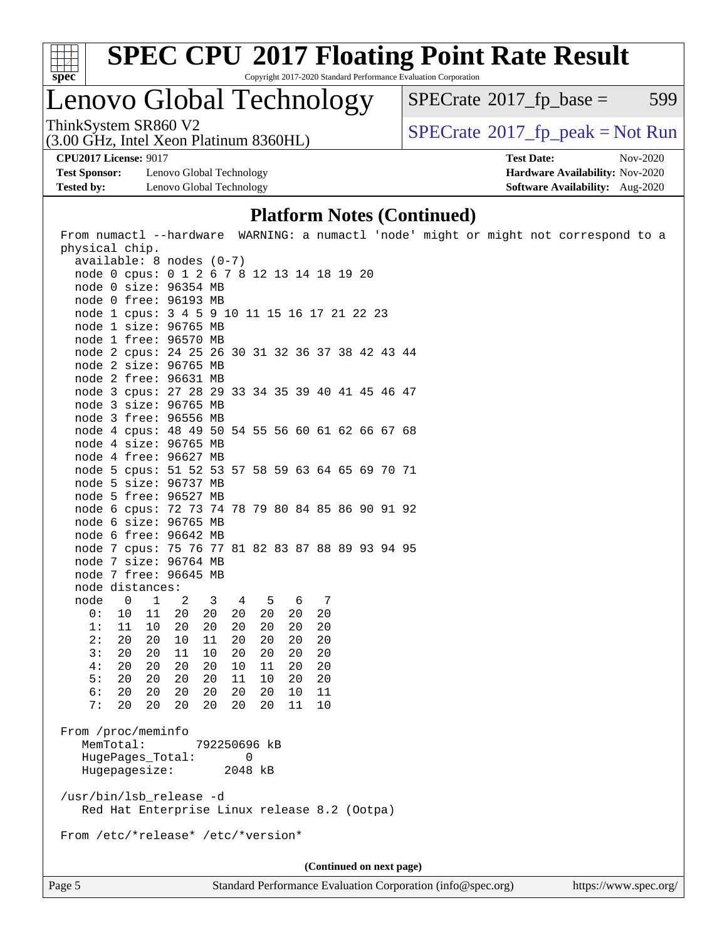

# **[SPEC CPU](http://www.spec.org/auto/cpu2017/Docs/result-fields.html#SPECCPU2017FloatingPointRateResult)[2017 Floating Point Rate Result](http://www.spec.org/auto/cpu2017/Docs/result-fields.html#SPECCPU2017FloatingPointRateResult)**

Copyright 2017-2020 Standard Performance Evaluation Corporation

### Lenovo Global Technology

 $SPECTate@2017_fp\_base = 599$ 

(3.00 GHz, Intel Xeon Platinum 8360HL) ThinkSystem SR860 V2<br>(3.00 GHz, Intel Xeon Platinum 8360HI)  $\vert$  [SPECrate](http://www.spec.org/auto/cpu2017/Docs/result-fields.html#SPECrate2017fppeak)®[2017\\_fp\\_peak = N](http://www.spec.org/auto/cpu2017/Docs/result-fields.html#SPECrate2017fppeak)ot Run

**[CPU2017 License:](http://www.spec.org/auto/cpu2017/Docs/result-fields.html#CPU2017License)** 9017 **[Test Date:](http://www.spec.org/auto/cpu2017/Docs/result-fields.html#TestDate)** Nov-2020

**[Test Sponsor:](http://www.spec.org/auto/cpu2017/Docs/result-fields.html#TestSponsor)** Lenovo Global Technology **[Hardware Availability:](http://www.spec.org/auto/cpu2017/Docs/result-fields.html#HardwareAvailability)** Nov-2020 **[Tested by:](http://www.spec.org/auto/cpu2017/Docs/result-fields.html#Testedby)** Lenovo Global Technology **[Software Availability:](http://www.spec.org/auto/cpu2017/Docs/result-fields.html#SoftwareAvailability)** Aug-2020

#### **[Platform Notes \(Continued\)](http://www.spec.org/auto/cpu2017/Docs/result-fields.html#PlatformNotes)**

Page 5 Standard Performance Evaluation Corporation [\(info@spec.org\)](mailto:info@spec.org) <https://www.spec.org/>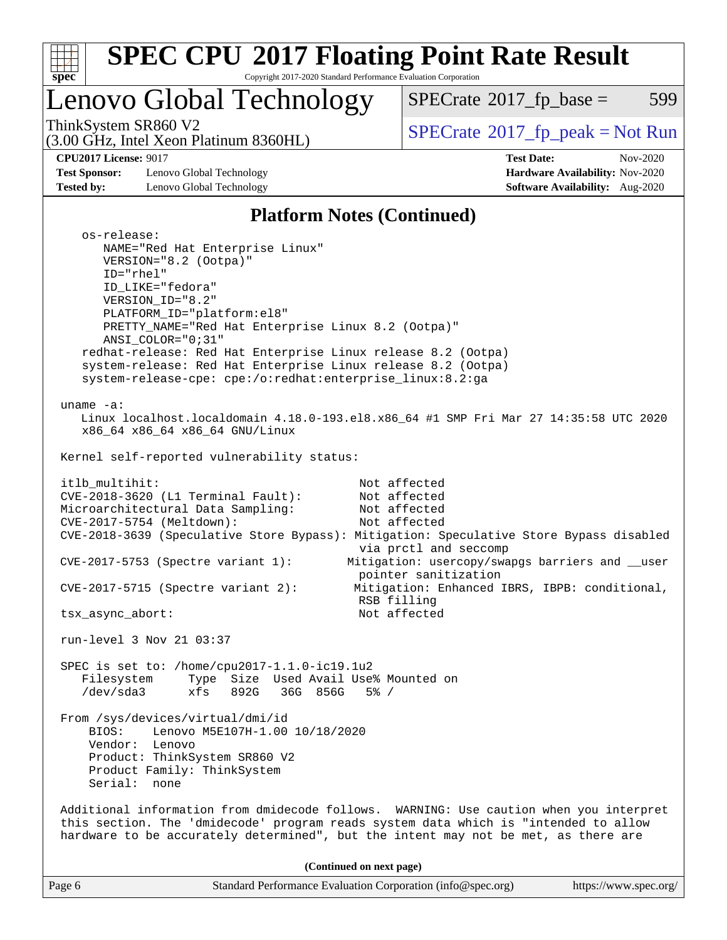

# **[SPEC CPU](http://www.spec.org/auto/cpu2017/Docs/result-fields.html#SPECCPU2017FloatingPointRateResult)[2017 Floating Point Rate Result](http://www.spec.org/auto/cpu2017/Docs/result-fields.html#SPECCPU2017FloatingPointRateResult)**

Copyright 2017-2020 Standard Performance Evaluation Corporation

## Lenovo Global Technology

 $SPECTate@2017_fp\_base = 599$ 

(3.00 GHz, Intel Xeon Platinum 8360HL)

**[CPU2017 License:](http://www.spec.org/auto/cpu2017/Docs/result-fields.html#CPU2017License)** 9017 **[Test Date:](http://www.spec.org/auto/cpu2017/Docs/result-fields.html#TestDate)** Nov-2020

**[Test Sponsor:](http://www.spec.org/auto/cpu2017/Docs/result-fields.html#TestSponsor)** Lenovo Global Technology **[Hardware Availability:](http://www.spec.org/auto/cpu2017/Docs/result-fields.html#HardwareAvailability)** Nov-2020 **[Tested by:](http://www.spec.org/auto/cpu2017/Docs/result-fields.html#Testedby)** Lenovo Global Technology **[Software Availability:](http://www.spec.org/auto/cpu2017/Docs/result-fields.html#SoftwareAvailability)** Aug-2020

ThinkSystem SR860 V2<br>(3.00 GHz, Intel Xeon Platinum 8360HI) [SPECrate](http://www.spec.org/auto/cpu2017/Docs/result-fields.html#SPECrate2017fppeak)®[2017\\_fp\\_peak = N](http://www.spec.org/auto/cpu2017/Docs/result-fields.html#SPECrate2017fppeak)ot Run

#### **[Platform Notes \(Continued\)](http://www.spec.org/auto/cpu2017/Docs/result-fields.html#PlatformNotes)**

| os-release:<br>NAME="Red Hat Enterprise Linux"<br>VERSION="8.2 (Ootpa)"<br>ID="rhel"<br>ID_LIKE="fedora"<br>VERSION ID="8.2"<br>PLATFORM_ID="platform:el8"<br>PRETTY_NAME="Red Hat Enterprise Linux 8.2 (Ootpa)"<br>ANSI_COLOR="0;31"<br>redhat-release: Red Hat Enterprise Linux release 8.2 (Ootpa)<br>system-release: Red Hat Enterprise Linux release 8.2 (Ootpa)<br>system-release-cpe: cpe:/o:redhat:enterprise_linux:8.2:ga |
|------------------------------------------------------------------------------------------------------------------------------------------------------------------------------------------------------------------------------------------------------------------------------------------------------------------------------------------------------------------------------------------------------------------------------------|
| uname $-a$ :<br>Linux localhost.localdomain 4.18.0-193.el8.x86_64 #1 SMP Fri Mar 27 14:35:58 UTC 2020<br>x86_64 x86_64 x86_64 GNU/Linux                                                                                                                                                                                                                                                                                            |
| Kernel self-reported vulnerability status:                                                                                                                                                                                                                                                                                                                                                                                         |
| itlb_multihit:<br>Not affected<br>CVE-2018-3620 (L1 Terminal Fault):<br>Not affected<br>Microarchitectural Data Sampling:<br>Not affected<br>CVE-2017-5754 (Meltdown):<br>Not affected<br>CVE-2018-3639 (Speculative Store Bypass): Mitigation: Speculative Store Bypass disabled                                                                                                                                                  |
| via prctl and seccomp<br>Mitigation: usercopy/swapgs barriers and __user<br>$CVE-2017-5753$ (Spectre variant 1):<br>pointer sanitization                                                                                                                                                                                                                                                                                           |
| $CVE-2017-5715$ (Spectre variant 2):<br>Mitigation: Enhanced IBRS, IBPB: conditional,<br>RSB filling                                                                                                                                                                                                                                                                                                                               |
| Not affected<br>tsx_async_abort:                                                                                                                                                                                                                                                                                                                                                                                                   |
| run-level 3 Nov 21 03:37                                                                                                                                                                                                                                                                                                                                                                                                           |
| SPEC is set to: /home/cpu2017-1.1.0-ic19.1u2<br>Type Size Used Avail Use% Mounted on<br>Filesystem<br>/dev/sda3<br>xfs 892G 36G 856G<br>$5\%$ /                                                                                                                                                                                                                                                                                    |
| From /sys/devices/virtual/dmi/id<br>Lenovo M5E107H-1.00 10/18/2020<br>BIOS:<br>Vendor:<br>Lenovo<br>Product: ThinkSystem SR860 V2<br>Product Family: ThinkSystem<br>Serial:<br>none                                                                                                                                                                                                                                                |
| Additional information from dmidecode follows. WARNING: Use caution when you interpret<br>this section. The 'dmidecode' program reads system data which is "intended to allow<br>hardware to be accurately determined", but the intent may not be met, as there are                                                                                                                                                                |
| (Continued on next page)                                                                                                                                                                                                                                                                                                                                                                                                           |

Page 6 Standard Performance Evaluation Corporation [\(info@spec.org\)](mailto:info@spec.org) <https://www.spec.org/>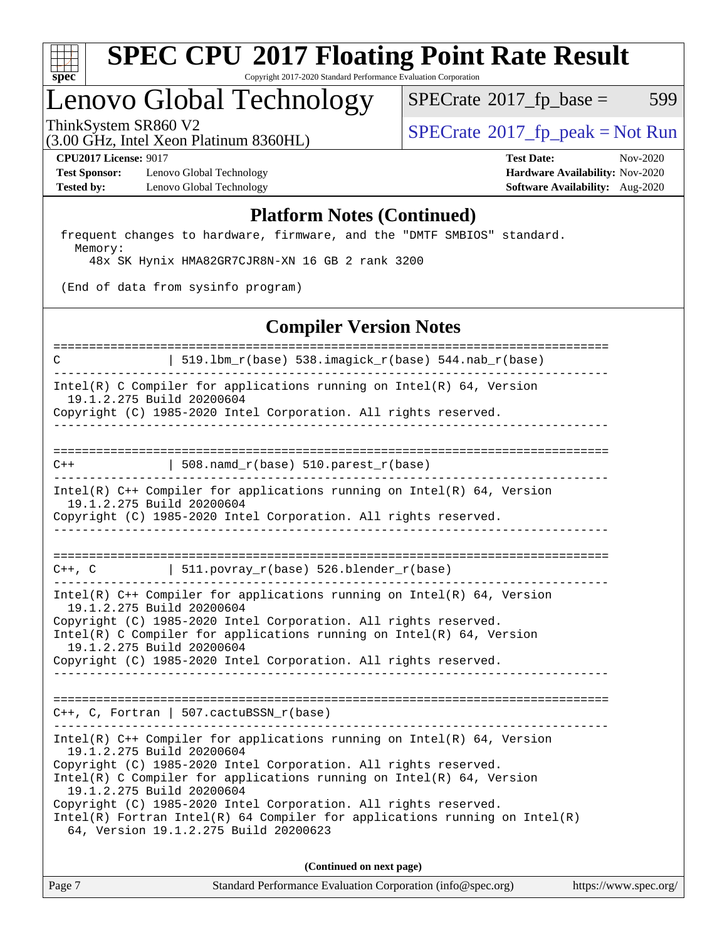

## Lenovo Global Technology

(3.00 GHz, Intel Xeon Platinum 8360HL)

ThinkSystem SR860 V2<br>  $\begin{array}{c} \text{SPECTR} \\ \text{SPECTR} \\ \text{SPECTR} \end{array}$  [SPECrate](http://www.spec.org/auto/cpu2017/Docs/result-fields.html#SPECrate2017fppeak)®[2017\\_fp\\_peak = N](http://www.spec.org/auto/cpu2017/Docs/result-fields.html#SPECrate2017fppeak)ot Run

 $SPECTate@2017_fp\_base = 599$ 

**[Test Sponsor:](http://www.spec.org/auto/cpu2017/Docs/result-fields.html#TestSponsor)** Lenovo Global Technology **[Hardware Availability:](http://www.spec.org/auto/cpu2017/Docs/result-fields.html#HardwareAvailability)** Nov-2020 **[Tested by:](http://www.spec.org/auto/cpu2017/Docs/result-fields.html#Testedby)** Lenovo Global Technology **[Software Availability:](http://www.spec.org/auto/cpu2017/Docs/result-fields.html#SoftwareAvailability)** Aug-2020

**[CPU2017 License:](http://www.spec.org/auto/cpu2017/Docs/result-fields.html#CPU2017License)** 9017 **[Test Date:](http://www.spec.org/auto/cpu2017/Docs/result-fields.html#TestDate)** Nov-2020

#### **[Platform Notes \(Continued\)](http://www.spec.org/auto/cpu2017/Docs/result-fields.html#PlatformNotes)**

 frequent changes to hardware, firmware, and the "DMTF SMBIOS" standard. Memory:

48x SK Hynix HMA82GR7CJR8N-XN 16 GB 2 rank 3200

(End of data from sysinfo program)

#### **[Compiler Version Notes](http://www.spec.org/auto/cpu2017/Docs/result-fields.html#CompilerVersionNotes)**

============================================================================== C | 519.lbm\_r(base) 538.imagick\_r(base) 544.nab\_r(base) ------------------------------------------------------------------------------ Intel(R) C Compiler for applications running on Intel(R) 64, Version 19.1.2.275 Build 20200604 Copyright (C) 1985-2020 Intel Corporation. All rights reserved. ------------------------------------------------------------------------------ ==============================================================================  $C++$  | 508.namd\_r(base) 510.parest\_r(base) ------------------------------------------------------------------------------ Intel(R) C++ Compiler for applications running on Intel(R) 64, Version 19.1.2.275 Build 20200604 Copyright (C) 1985-2020 Intel Corporation. All rights reserved. ------------------------------------------------------------------------------ ==============================================================================  $C++$ ,  $C$  | 511.povray\_r(base) 526.blender\_r(base) ------------------------------------------------------------------------------ Intel(R) C++ Compiler for applications running on Intel(R) 64, Version 19.1.2.275 Build 20200604 Copyright (C) 1985-2020 Intel Corporation. All rights reserved. Intel(R) C Compiler for applications running on Intel(R) 64, Version 19.1.2.275 Build 20200604 Copyright (C) 1985-2020 Intel Corporation. All rights reserved. ------------------------------------------------------------------------------ ============================================================================== C++, C, Fortran | 507.cactuBSSN\_r(base) ------------------------------------------------------------------------------ Intel(R)  $C++$  Compiler for applications running on Intel(R) 64, Version 19.1.2.275 Build 20200604 Copyright (C) 1985-2020 Intel Corporation. All rights reserved. Intel(R) C Compiler for applications running on Intel(R)  $64$ , Version 19.1.2.275 Build 20200604 Copyright (C) 1985-2020 Intel Corporation. All rights reserved. Intel(R) Fortran Intel(R) 64 Compiler for applications running on Intel(R) 64, Version 19.1.2.275 Build 20200623

**(Continued on next page)**

| Page 7<br>Standard Performance Evaluation Corporation (info@spec.org)<br>https://www.spec.org/ |
|------------------------------------------------------------------------------------------------|
|------------------------------------------------------------------------------------------------|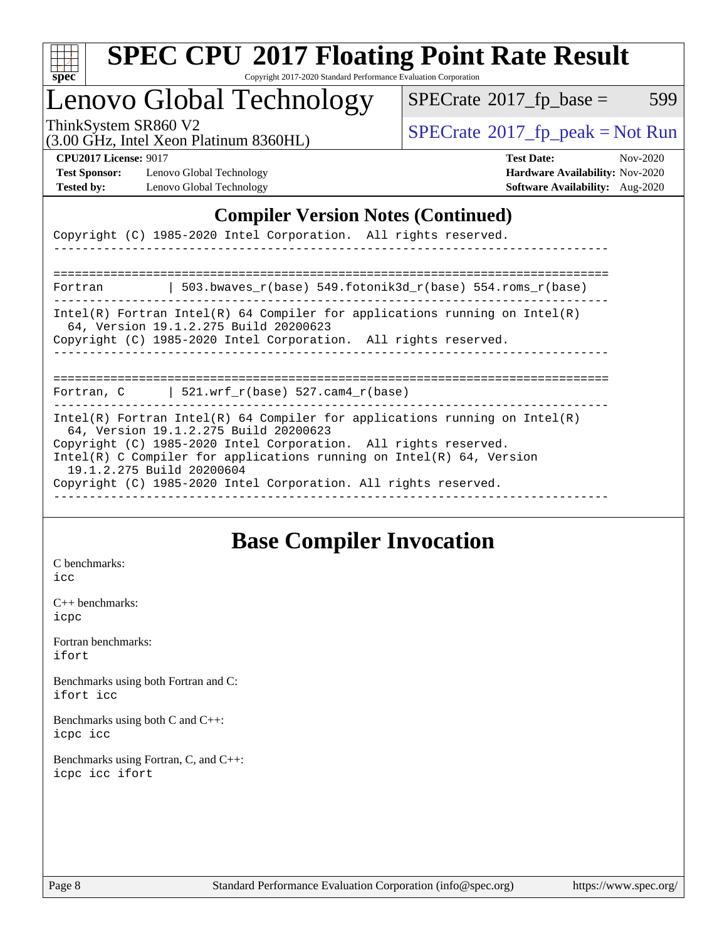

### Lenovo Global Technology

 $SPECTate@2017_fp\_base = 599$ 

(3.00 GHz, Intel Xeon Platinum 8360HL)

ThinkSystem SR860 V2<br>  $\begin{array}{c} \text{SPECTR} \\ \text{SPECTR} \\ \text{SPECTR} \end{array}$  [SPECrate](http://www.spec.org/auto/cpu2017/Docs/result-fields.html#SPECrate2017fppeak)®[2017\\_fp\\_peak = N](http://www.spec.org/auto/cpu2017/Docs/result-fields.html#SPECrate2017fppeak)ot Run

**[Test Sponsor:](http://www.spec.org/auto/cpu2017/Docs/result-fields.html#TestSponsor)** Lenovo Global Technology **[Hardware Availability:](http://www.spec.org/auto/cpu2017/Docs/result-fields.html#HardwareAvailability)** Nov-2020 **[Tested by:](http://www.spec.org/auto/cpu2017/Docs/result-fields.html#Testedby)** Lenovo Global Technology **[Software Availability:](http://www.spec.org/auto/cpu2017/Docs/result-fields.html#SoftwareAvailability)** Aug-2020

**[CPU2017 License:](http://www.spec.org/auto/cpu2017/Docs/result-fields.html#CPU2017License)** 9017 **[Test Date:](http://www.spec.org/auto/cpu2017/Docs/result-fields.html#TestDate)** Nov-2020

### **[Compiler Version Notes \(Continued\)](http://www.spec.org/auto/cpu2017/Docs/result-fields.html#CompilerVersionNotes)**

Copyright (C) 1985-2020 Intel Corporation. All rights reserved.

============================================================================== Fortran | 503.bwaves\_r(base) 549.fotonik3d\_r(base) 554.roms\_r(base) ------------------------------------------------------------------------------ Intel(R) Fortran Intel(R) 64 Compiler for applications running on Intel(R) 64, Version 19.1.2.275 Build 20200623 Copyright (C) 1985-2020 Intel Corporation. All rights reserved.

------------------------------------------------------------------------------

------------------------------------------------------------------------------

==============================================================================

Fortran,  $C$  | 521.wrf\_r(base) 527.cam4\_r(base)

------------------------------------------------------------------------------ Intel(R) Fortran Intel(R) 64 Compiler for applications running on Intel(R) 64, Version 19.1.2.275 Build 20200623 Copyright (C) 1985-2020 Intel Corporation. All rights reserved. Intel(R) C Compiler for applications running on Intel(R) 64, Version 19.1.2.275 Build 20200604 Copyright (C) 1985-2020 Intel Corporation. All rights reserved. ------------------------------------------------------------------------------

### **[Base Compiler Invocation](http://www.spec.org/auto/cpu2017/Docs/result-fields.html#BaseCompilerInvocation)**

[C benchmarks](http://www.spec.org/auto/cpu2017/Docs/result-fields.html#Cbenchmarks): [icc](http://www.spec.org/cpu2017/results/res2020q4/cpu2017-20201123-24472.flags.html#user_CCbase_intel_icc_66fc1ee009f7361af1fbd72ca7dcefbb700085f36577c54f309893dd4ec40d12360134090235512931783d35fd58c0460139e722d5067c5574d8eaf2b3e37e92)

[C++ benchmarks:](http://www.spec.org/auto/cpu2017/Docs/result-fields.html#CXXbenchmarks) [icpc](http://www.spec.org/cpu2017/results/res2020q4/cpu2017-20201123-24472.flags.html#user_CXXbase_intel_icpc_c510b6838c7f56d33e37e94d029a35b4a7bccf4766a728ee175e80a419847e808290a9b78be685c44ab727ea267ec2f070ec5dc83b407c0218cded6866a35d07)

[Fortran benchmarks](http://www.spec.org/auto/cpu2017/Docs/result-fields.html#Fortranbenchmarks): [ifort](http://www.spec.org/cpu2017/results/res2020q4/cpu2017-20201123-24472.flags.html#user_FCbase_intel_ifort_8111460550e3ca792625aed983ce982f94888b8b503583aa7ba2b8303487b4d8a21a13e7191a45c5fd58ff318f48f9492884d4413fa793fd88dd292cad7027ca)

[Benchmarks using both Fortran and C](http://www.spec.org/auto/cpu2017/Docs/result-fields.html#BenchmarksusingbothFortranandC): [ifort](http://www.spec.org/cpu2017/results/res2020q4/cpu2017-20201123-24472.flags.html#user_CC_FCbase_intel_ifort_8111460550e3ca792625aed983ce982f94888b8b503583aa7ba2b8303487b4d8a21a13e7191a45c5fd58ff318f48f9492884d4413fa793fd88dd292cad7027ca) [icc](http://www.spec.org/cpu2017/results/res2020q4/cpu2017-20201123-24472.flags.html#user_CC_FCbase_intel_icc_66fc1ee009f7361af1fbd72ca7dcefbb700085f36577c54f309893dd4ec40d12360134090235512931783d35fd58c0460139e722d5067c5574d8eaf2b3e37e92)

[Benchmarks using both C and C++](http://www.spec.org/auto/cpu2017/Docs/result-fields.html#BenchmarksusingbothCandCXX): [icpc](http://www.spec.org/cpu2017/results/res2020q4/cpu2017-20201123-24472.flags.html#user_CC_CXXbase_intel_icpc_c510b6838c7f56d33e37e94d029a35b4a7bccf4766a728ee175e80a419847e808290a9b78be685c44ab727ea267ec2f070ec5dc83b407c0218cded6866a35d07) [icc](http://www.spec.org/cpu2017/results/res2020q4/cpu2017-20201123-24472.flags.html#user_CC_CXXbase_intel_icc_66fc1ee009f7361af1fbd72ca7dcefbb700085f36577c54f309893dd4ec40d12360134090235512931783d35fd58c0460139e722d5067c5574d8eaf2b3e37e92)

[Benchmarks using Fortran, C, and C++:](http://www.spec.org/auto/cpu2017/Docs/result-fields.html#BenchmarksusingFortranCandCXX) [icpc](http://www.spec.org/cpu2017/results/res2020q4/cpu2017-20201123-24472.flags.html#user_CC_CXX_FCbase_intel_icpc_c510b6838c7f56d33e37e94d029a35b4a7bccf4766a728ee175e80a419847e808290a9b78be685c44ab727ea267ec2f070ec5dc83b407c0218cded6866a35d07) [icc](http://www.spec.org/cpu2017/results/res2020q4/cpu2017-20201123-24472.flags.html#user_CC_CXX_FCbase_intel_icc_66fc1ee009f7361af1fbd72ca7dcefbb700085f36577c54f309893dd4ec40d12360134090235512931783d35fd58c0460139e722d5067c5574d8eaf2b3e37e92) [ifort](http://www.spec.org/cpu2017/results/res2020q4/cpu2017-20201123-24472.flags.html#user_CC_CXX_FCbase_intel_ifort_8111460550e3ca792625aed983ce982f94888b8b503583aa7ba2b8303487b4d8a21a13e7191a45c5fd58ff318f48f9492884d4413fa793fd88dd292cad7027ca)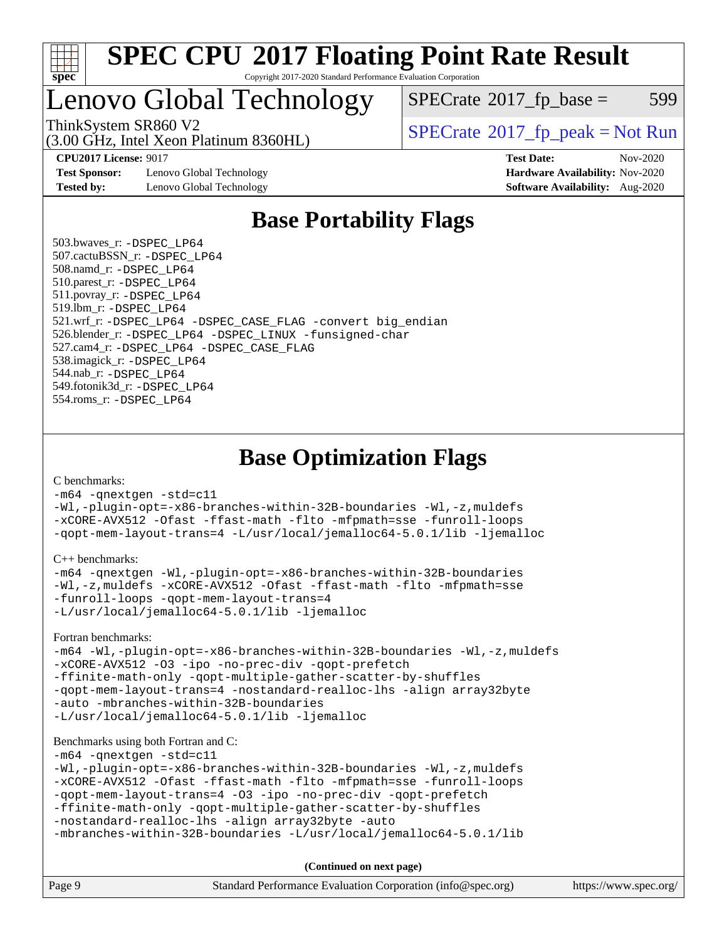

### Lenovo Global Technology

 $SPECTate@2017_fp\_base = 599$ 

(3.00 GHz, Intel Xeon Platinum 8360HL)

ThinkSystem SR860 V2<br>  $\begin{array}{c} \text{SPECrate} \textcirc 2017 \text{ fp\_peak} = \text{Not Run} \end{array}$  $\begin{array}{c} \text{SPECrate} \textcirc 2017 \text{ fp\_peak} = \text{Not Run} \end{array}$  $\begin{array}{c} \text{SPECrate} \textcirc 2017 \text{ fp\_peak} = \text{Not Run} \end{array}$ 

**[Test Sponsor:](http://www.spec.org/auto/cpu2017/Docs/result-fields.html#TestSponsor)** Lenovo Global Technology **[Hardware Availability:](http://www.spec.org/auto/cpu2017/Docs/result-fields.html#HardwareAvailability)** Nov-2020 **[Tested by:](http://www.spec.org/auto/cpu2017/Docs/result-fields.html#Testedby)** Lenovo Global Technology **[Software Availability:](http://www.spec.org/auto/cpu2017/Docs/result-fields.html#SoftwareAvailability)** Aug-2020

**[CPU2017 License:](http://www.spec.org/auto/cpu2017/Docs/result-fields.html#CPU2017License)** 9017 **[Test Date:](http://www.spec.org/auto/cpu2017/Docs/result-fields.html#TestDate)** Nov-2020

### **[Base Portability Flags](http://www.spec.org/auto/cpu2017/Docs/result-fields.html#BasePortabilityFlags)**

 503.bwaves\_r: [-DSPEC\\_LP64](http://www.spec.org/cpu2017/results/res2020q4/cpu2017-20201123-24472.flags.html#suite_basePORTABILITY503_bwaves_r_DSPEC_LP64) 507.cactuBSSN\_r: [-DSPEC\\_LP64](http://www.spec.org/cpu2017/results/res2020q4/cpu2017-20201123-24472.flags.html#suite_basePORTABILITY507_cactuBSSN_r_DSPEC_LP64) 508.namd\_r: [-DSPEC\\_LP64](http://www.spec.org/cpu2017/results/res2020q4/cpu2017-20201123-24472.flags.html#suite_basePORTABILITY508_namd_r_DSPEC_LP64) 510.parest\_r: [-DSPEC\\_LP64](http://www.spec.org/cpu2017/results/res2020q4/cpu2017-20201123-24472.flags.html#suite_basePORTABILITY510_parest_r_DSPEC_LP64) 511.povray\_r: [-DSPEC\\_LP64](http://www.spec.org/cpu2017/results/res2020q4/cpu2017-20201123-24472.flags.html#suite_basePORTABILITY511_povray_r_DSPEC_LP64) 519.lbm\_r: [-DSPEC\\_LP64](http://www.spec.org/cpu2017/results/res2020q4/cpu2017-20201123-24472.flags.html#suite_basePORTABILITY519_lbm_r_DSPEC_LP64) 521.wrf\_r: [-DSPEC\\_LP64](http://www.spec.org/cpu2017/results/res2020q4/cpu2017-20201123-24472.flags.html#suite_basePORTABILITY521_wrf_r_DSPEC_LP64) [-DSPEC\\_CASE\\_FLAG](http://www.spec.org/cpu2017/results/res2020q4/cpu2017-20201123-24472.flags.html#b521.wrf_r_baseCPORTABILITY_DSPEC_CASE_FLAG) [-convert big\\_endian](http://www.spec.org/cpu2017/results/res2020q4/cpu2017-20201123-24472.flags.html#user_baseFPORTABILITY521_wrf_r_convert_big_endian_c3194028bc08c63ac5d04de18c48ce6d347e4e562e8892b8bdbdc0214820426deb8554edfa529a3fb25a586e65a3d812c835984020483e7e73212c4d31a38223) 526.blender\_r: [-DSPEC\\_LP64](http://www.spec.org/cpu2017/results/res2020q4/cpu2017-20201123-24472.flags.html#suite_basePORTABILITY526_blender_r_DSPEC_LP64) [-DSPEC\\_LINUX](http://www.spec.org/cpu2017/results/res2020q4/cpu2017-20201123-24472.flags.html#b526.blender_r_baseCPORTABILITY_DSPEC_LINUX) [-funsigned-char](http://www.spec.org/cpu2017/results/res2020q4/cpu2017-20201123-24472.flags.html#user_baseCPORTABILITY526_blender_r_force_uchar_40c60f00ab013830e2dd6774aeded3ff59883ba5a1fc5fc14077f794d777847726e2a5858cbc7672e36e1b067e7e5c1d9a74f7176df07886a243d7cc18edfe67) 527.cam4\_r: [-DSPEC\\_LP64](http://www.spec.org/cpu2017/results/res2020q4/cpu2017-20201123-24472.flags.html#suite_basePORTABILITY527_cam4_r_DSPEC_LP64) [-DSPEC\\_CASE\\_FLAG](http://www.spec.org/cpu2017/results/res2020q4/cpu2017-20201123-24472.flags.html#b527.cam4_r_baseCPORTABILITY_DSPEC_CASE_FLAG) 538.imagick\_r: [-DSPEC\\_LP64](http://www.spec.org/cpu2017/results/res2020q4/cpu2017-20201123-24472.flags.html#suite_basePORTABILITY538_imagick_r_DSPEC_LP64) 544.nab\_r: [-DSPEC\\_LP64](http://www.spec.org/cpu2017/results/res2020q4/cpu2017-20201123-24472.flags.html#suite_basePORTABILITY544_nab_r_DSPEC_LP64) 549.fotonik3d\_r: [-DSPEC\\_LP64](http://www.spec.org/cpu2017/results/res2020q4/cpu2017-20201123-24472.flags.html#suite_basePORTABILITY549_fotonik3d_r_DSPEC_LP64) 554.roms\_r: [-DSPEC\\_LP64](http://www.spec.org/cpu2017/results/res2020q4/cpu2017-20201123-24472.flags.html#suite_basePORTABILITY554_roms_r_DSPEC_LP64)

**[Base Optimization Flags](http://www.spec.org/auto/cpu2017/Docs/result-fields.html#BaseOptimizationFlags)**

[C benchmarks](http://www.spec.org/auto/cpu2017/Docs/result-fields.html#Cbenchmarks):

[-m64](http://www.spec.org/cpu2017/results/res2020q4/cpu2017-20201123-24472.flags.html#user_CCbase_m64-icc) [-qnextgen](http://www.spec.org/cpu2017/results/res2020q4/cpu2017-20201123-24472.flags.html#user_CCbase_f-qnextgen) [-std=c11](http://www.spec.org/cpu2017/results/res2020q4/cpu2017-20201123-24472.flags.html#user_CCbase_std-icc-std_0e1c27790398a4642dfca32ffe6c27b5796f9c2d2676156f2e42c9c44eaad0c049b1cdb667a270c34d979996257aeb8fc440bfb01818dbc9357bd9d174cb8524) [-Wl,-plugin-opt=-x86-branches-within-32B-boundaries](http://www.spec.org/cpu2017/results/res2020q4/cpu2017-20201123-24472.flags.html#user_CCbase_f-x86-branches-within-32B-boundaries_0098b4e4317ae60947b7b728078a624952a08ac37a3c797dfb4ffeb399e0c61a9dd0f2f44ce917e9361fb9076ccb15e7824594512dd315205382d84209e912f3) [-Wl,-z,muldefs](http://www.spec.org/cpu2017/results/res2020q4/cpu2017-20201123-24472.flags.html#user_CCbase_link_force_multiple1_b4cbdb97b34bdee9ceefcfe54f4c8ea74255f0b02a4b23e853cdb0e18eb4525ac79b5a88067c842dd0ee6996c24547a27a4b99331201badda8798ef8a743f577) [-xCORE-AVX512](http://www.spec.org/cpu2017/results/res2020q4/cpu2017-20201123-24472.flags.html#user_CCbase_f-xCORE-AVX512) [-Ofast](http://www.spec.org/cpu2017/results/res2020q4/cpu2017-20201123-24472.flags.html#user_CCbase_f-Ofast) [-ffast-math](http://www.spec.org/cpu2017/results/res2020q4/cpu2017-20201123-24472.flags.html#user_CCbase_f-ffast-math) [-flto](http://www.spec.org/cpu2017/results/res2020q4/cpu2017-20201123-24472.flags.html#user_CCbase_f-flto) [-mfpmath=sse](http://www.spec.org/cpu2017/results/res2020q4/cpu2017-20201123-24472.flags.html#user_CCbase_f-mfpmath_70eb8fac26bde974f8ab713bc9086c5621c0b8d2f6c86f38af0bd7062540daf19db5f3a066d8c6684be05d84c9b6322eb3b5be6619d967835195b93d6c02afa1) [-funroll-loops](http://www.spec.org/cpu2017/results/res2020q4/cpu2017-20201123-24472.flags.html#user_CCbase_f-funroll-loops) [-qopt-mem-layout-trans=4](http://www.spec.org/cpu2017/results/res2020q4/cpu2017-20201123-24472.flags.html#user_CCbase_f-qopt-mem-layout-trans_fa39e755916c150a61361b7846f310bcdf6f04e385ef281cadf3647acec3f0ae266d1a1d22d972a7087a248fd4e6ca390a3634700869573d231a252c784941a8) [-L/usr/local/jemalloc64-5.0.1/lib](http://www.spec.org/cpu2017/results/res2020q4/cpu2017-20201123-24472.flags.html#user_CCbase_jemalloc_link_path64_1_cc289568b1a6c0fd3b62c91b824c27fcb5af5e8098e6ad028160d21144ef1b8aef3170d2acf0bee98a8da324cfe4f67d0a3d0c4cc4673d993d694dc2a0df248b) [-ljemalloc](http://www.spec.org/cpu2017/results/res2020q4/cpu2017-20201123-24472.flags.html#user_CCbase_jemalloc_link_lib_d1249b907c500fa1c0672f44f562e3d0f79738ae9e3c4a9c376d49f265a04b9c99b167ecedbf6711b3085be911c67ff61f150a17b3472be731631ba4d0471706)

[C++ benchmarks:](http://www.spec.org/auto/cpu2017/Docs/result-fields.html#CXXbenchmarks)

```
-m64 -qnextgen -Wl,-plugin-opt=-x86-branches-within-32B-boundaries
-Wl,-z,muldefs -xCORE-AVX512 -Ofast -ffast-math -flto -mfpmath=sse
-funroll-loops -qopt-mem-layout-trans=4
-L/usr/local/jemalloc64-5.0.1/lib -ljemalloc
```
[Fortran benchmarks](http://www.spec.org/auto/cpu2017/Docs/result-fields.html#Fortranbenchmarks):

```
-m64 -Wl,-plugin-opt=-x86-branches-within-32B-boundaries -Wl,-z,muldefs
-xCORE-AVX512 -O3 -ipo -no-prec-div -qopt-prefetch
-ffinite-math-only -qopt-multiple-gather-scatter-by-shuffles
-qopt-mem-layout-trans=4 -nostandard-realloc-lhs -align array32byte
-auto -mbranches-within-32B-boundaries
-L/usr/local/jemalloc64-5.0.1/lib -ljemalloc
```
#### [Benchmarks using both Fortran and C](http://www.spec.org/auto/cpu2017/Docs/result-fields.html#BenchmarksusingbothFortranandC):

[-m64](http://www.spec.org/cpu2017/results/res2020q4/cpu2017-20201123-24472.flags.html#user_CC_FCbase_m64-icc) [-qnextgen](http://www.spec.org/cpu2017/results/res2020q4/cpu2017-20201123-24472.flags.html#user_CC_FCbase_f-qnextgen) [-std=c11](http://www.spec.org/cpu2017/results/res2020q4/cpu2017-20201123-24472.flags.html#user_CC_FCbase_std-icc-std_0e1c27790398a4642dfca32ffe6c27b5796f9c2d2676156f2e42c9c44eaad0c049b1cdb667a270c34d979996257aeb8fc440bfb01818dbc9357bd9d174cb8524)

```
-Wl,-plugin-opt=-x86-branches-within-32B-boundaries -Wl,-z,muldefs
-xCORE-AVX512 -Ofast -ffast-math -flto -mfpmath=sse -funroll-loops
-qopt-mem-layout-trans=4 -O3 -ipo -no-prec-div -qopt-prefetch
-ffinite-math-only -qopt-multiple-gather-scatter-by-shuffles
-nostandard-realloc-lhs -align array32byte -auto
```

```
-mbranches-within-32B-boundaries -L/usr/local/jemalloc64-5.0.1/lib
```
**(Continued on next page)**

| Page 9<br>Standard Performance Evaluation Corporation (info@spec.org)<br>https://www.spec.org/ |
|------------------------------------------------------------------------------------------------|
|------------------------------------------------------------------------------------------------|